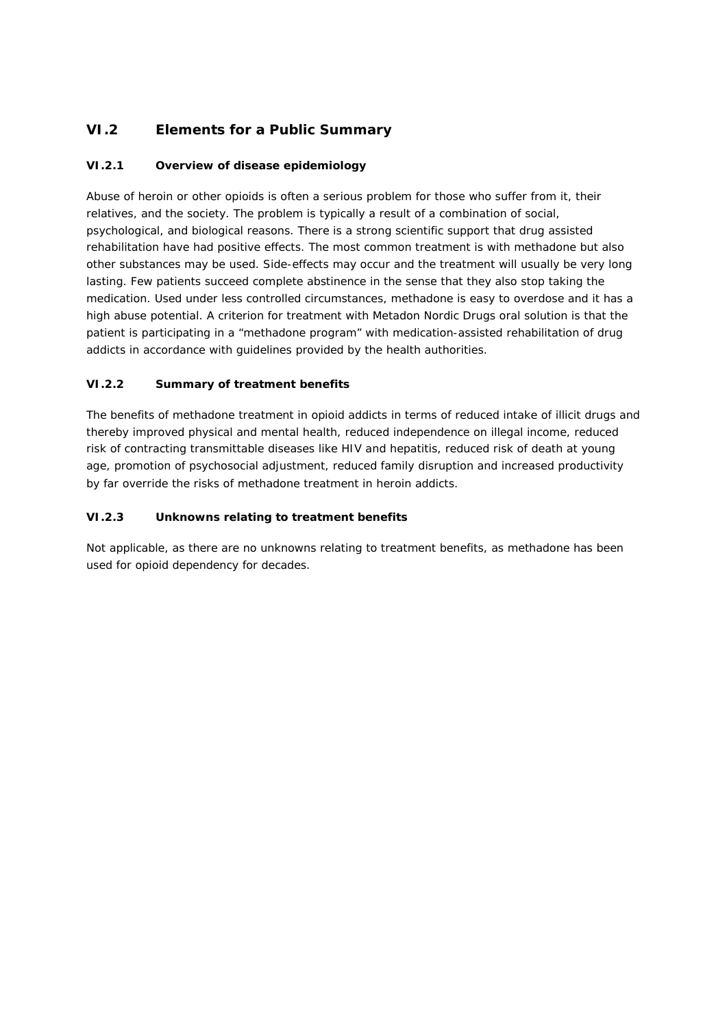# **VI.2 Elements for a Public Summary**

## *VI.2.1 Overview of disease epidemiology*

Abuse of heroin or other opioids is often a serious problem for those who suffer from it, their relatives, and the society. The problem is typically a result of a combination of social, psychological, and biological reasons. There is a strong scientific support that drug assisted rehabilitation have had positive effects. The most common treatment is with methadone but also other substances may be used. Side-effects may occur and the treatment will usually be very long lasting. Few patients succeed complete abstinence in the sense that they also stop taking the medication. Used under less controlled circumstances, methadone is easy to overdose and it has a high abuse potential. A criterion for treatment with Metadon Nordic Drugs oral solution is that the patient is participating in a "methadone program" with medication-assisted rehabilitation of drug addicts in accordance with guidelines provided by the health authorities.

## *VI.2.2 Summary of treatment benefits*

The benefits of methadone treatment in opioid addicts in terms of reduced intake of illicit drugs and thereby improved physical and mental health, reduced independence on illegal income, reduced risk of contracting transmittable diseases like HIV and hepatitis, reduced risk of death at young age, promotion of psychosocial adjustment, reduced family disruption and increased productivity by far override the risks of methadone treatment in heroin addicts.

### *VI.2.3 Unknowns relating to treatment benefits*

Not applicable, as there are no unknowns relating to treatment benefits, as methadone has been used for opioid dependency for decades.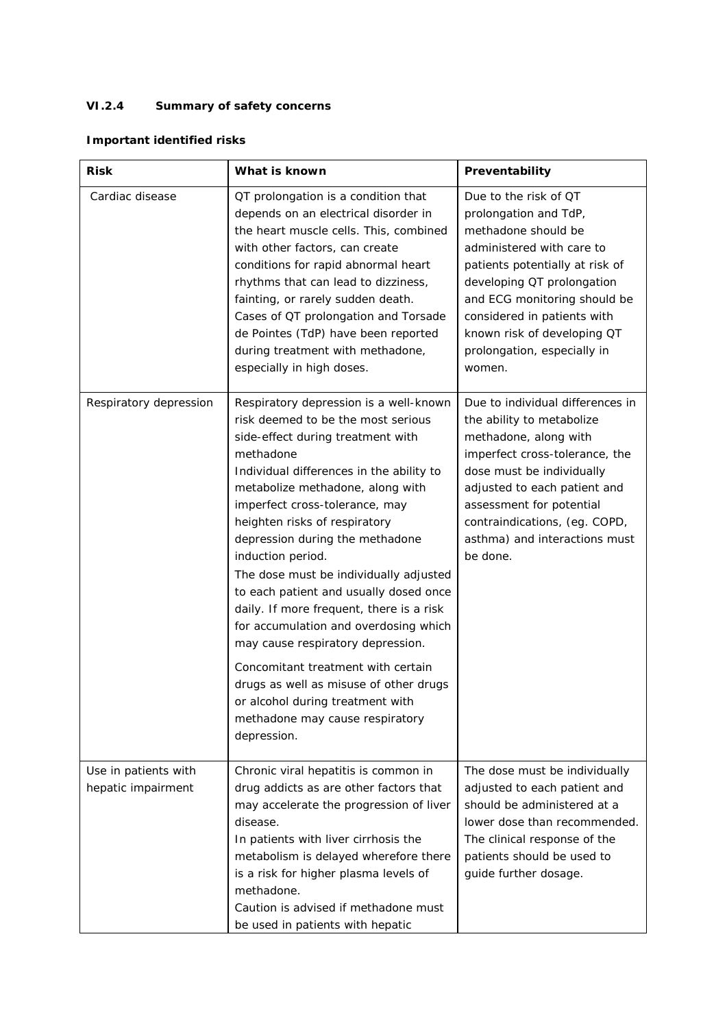## *VI.2.4 Summary of safety concerns*

## **Important identified risks**

| Risk                                       | What is known                                                                                                                                                                                                                                                                                                                                                                                                                                                                                                                                                                                                                                                                                                                 | Preventability                                                                                                                                                                                                                                                                                             |
|--------------------------------------------|-------------------------------------------------------------------------------------------------------------------------------------------------------------------------------------------------------------------------------------------------------------------------------------------------------------------------------------------------------------------------------------------------------------------------------------------------------------------------------------------------------------------------------------------------------------------------------------------------------------------------------------------------------------------------------------------------------------------------------|------------------------------------------------------------------------------------------------------------------------------------------------------------------------------------------------------------------------------------------------------------------------------------------------------------|
| Cardiac disease                            | QT prolongation is a condition that<br>depends on an electrical disorder in<br>the heart muscle cells. This, combined<br>with other factors, can create<br>conditions for rapid abnormal heart<br>rhythms that can lead to dizziness,<br>fainting, or rarely sudden death.<br>Cases of QT prolongation and Torsade<br>de Pointes (TdP) have been reported<br>during treatment with methadone,<br>especially in high doses.                                                                                                                                                                                                                                                                                                    | Due to the risk of QT<br>prolongation and TdP,<br>methadone should be<br>administered with care to<br>patients potentially at risk of<br>developing QT prolongation<br>and ECG monitoring should be<br>considered in patients with<br>known risk of developing QT<br>prolongation, especially in<br>women. |
| Respiratory depression                     | Respiratory depression is a well-known<br>risk deemed to be the most serious<br>side-effect during treatment with<br>methadone<br>Individual differences in the ability to<br>metabolize methadone, along with<br>imperfect cross-tolerance, may<br>heighten risks of respiratory<br>depression during the methadone<br>induction period.<br>The dose must be individually adjusted<br>to each patient and usually dosed once<br>daily. If more frequent, there is a risk<br>for accumulation and overdosing which<br>may cause respiratory depression.<br>Concomitant treatment with certain<br>drugs as well as misuse of other drugs<br>or alcohol during treatment with<br>methadone may cause respiratory<br>depression. | Due to individual differences in<br>the ability to metabolize<br>methadone, along with<br>imperfect cross-tolerance, the<br>dose must be individually<br>adjusted to each patient and<br>assessment for potential<br>contraindications, (eg. COPD,<br>asthma) and interactions must<br>be done.            |
| Use in patients with<br>hepatic impairment | Chronic viral hepatitis is common in<br>drug addicts as are other factors that<br>may accelerate the progression of liver<br>disease.<br>In patients with liver cirrhosis the<br>metabolism is delayed wherefore there<br>is a risk for higher plasma levels of<br>methadone.<br>Caution is advised if methadone must<br>be used in patients with hepatic                                                                                                                                                                                                                                                                                                                                                                     | The dose must be individually<br>adjusted to each patient and<br>should be administered at a<br>lower dose than recommended.<br>The clinical response of the<br>patients should be used to<br>guide further dosage.                                                                                        |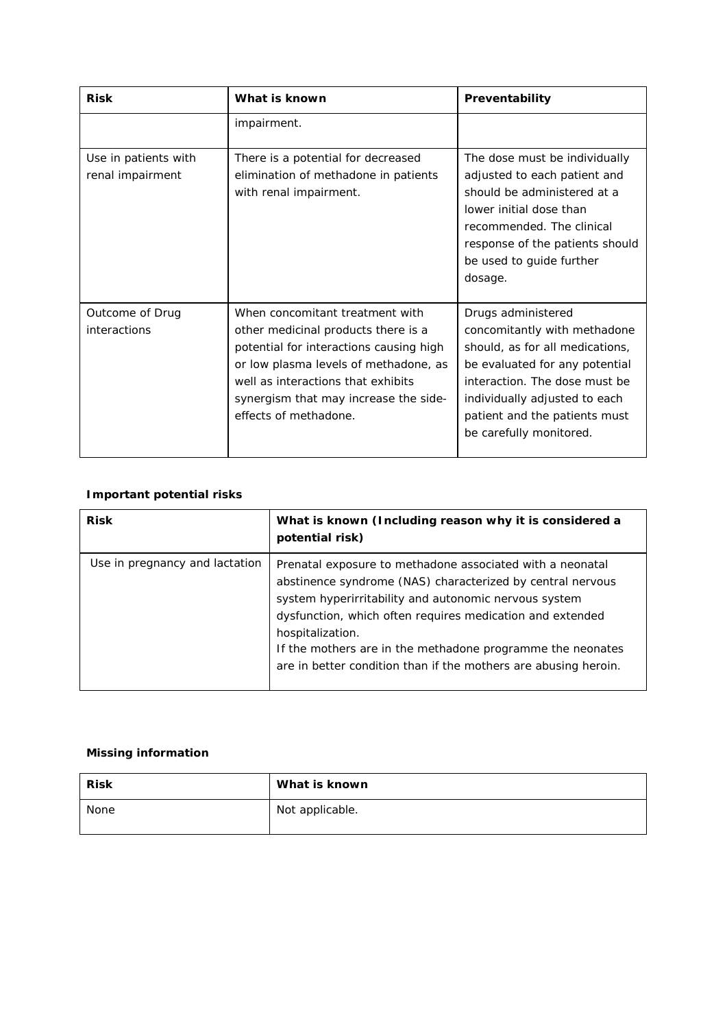| <b>Risk</b>                              | What is known                                                                                                                                                                                                                                                      | Preventability                                                                                                                                                                                                                                        |
|------------------------------------------|--------------------------------------------------------------------------------------------------------------------------------------------------------------------------------------------------------------------------------------------------------------------|-------------------------------------------------------------------------------------------------------------------------------------------------------------------------------------------------------------------------------------------------------|
|                                          | impairment.                                                                                                                                                                                                                                                        |                                                                                                                                                                                                                                                       |
| Use in patients with<br>renal impairment | There is a potential for decreased<br>elimination of methadone in patients<br>with renal impairment.                                                                                                                                                               | The dose must be individually<br>adjusted to each patient and<br>should be administered at a<br>lower initial dose than<br>recommended. The clinical<br>response of the patients should<br>be used to guide further<br>dosage.                        |
| Outcome of Drug<br>interactions          | When concomitant treatment with<br>other medicinal products there is a<br>potential for interactions causing high<br>or low plasma levels of methadone, as<br>well as interactions that exhibits<br>synergism that may increase the side-<br>effects of methadone. | Drugs administered<br>concomitantly with methadone<br>should, as for all medications,<br>be evaluated for any potential<br>interaction. The dose must be<br>individually adjusted to each<br>patient and the patients must<br>be carefully monitored. |

## **Important potential risks**

| <b>Risk</b>                    | What is known (Including reason why it is considered a<br>potential risk)                                                                                                                                                                                                                                                                                                                          |
|--------------------------------|----------------------------------------------------------------------------------------------------------------------------------------------------------------------------------------------------------------------------------------------------------------------------------------------------------------------------------------------------------------------------------------------------|
| Use in pregnancy and lactation | Prenatal exposure to methadone associated with a neonatal<br>abstinence syndrome (NAS) characterized by central nervous<br>system hyperirritability and autonomic nervous system<br>dysfunction, which often requires medication and extended<br>hospitalization.<br>If the mothers are in the methadone programme the neonates<br>are in better condition than if the mothers are abusing heroin. |

## **Missing information**

| <b>Risk</b> | What is known   |
|-------------|-----------------|
| None        | Not applicable. |